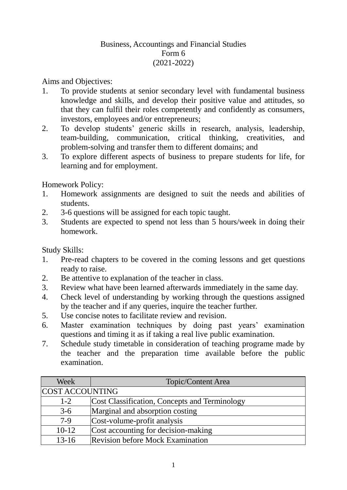## Business, Accountings and Financial Studies Form 6 (2021-2022)

Aims and Objectives:

- 1. To provide students at senior secondary level with fundamental business knowledge and skills, and develop their positive value and attitudes, so that they can fulfil their roles competently and confidently as consumers, investors, employees and/or entrepreneurs;
- 2. To develop students' generic skills in research, analysis, leadership, team-building, communication, critical thinking, creativities, and problem-solving and transfer them to different domains; and
- 3. To explore different aspects of business to prepare students for life, for learning and for employment.

Homework Policy:

- 1. Homework assignments are designed to suit the needs and abilities of students.
- 2. 3-6 questions will be assigned for each topic taught.
- 3. Students are expected to spend not less than 5 hours/week in doing their homework.

Study Skills:

- 1. Pre-read chapters to be covered in the coming lessons and get questions ready to raise.
- 2. Be attentive to explanation of the teacher in class.
- 3. Review what have been learned afterwards immediately in the same day.
- 4. Check level of understanding by working through the questions assigned by the teacher and if any queries, inquire the teacher further.
- 5. Use concise notes to facilitate review and revision.
- 6. Master examination techniques by doing past years' examination questions and timing it as if taking a real live public examination.
- 7. Schedule study timetable in consideration of teaching programe made by the teacher and the preparation time available before the public examination.

| Week            | Topic/Content Area                            |
|-----------------|-----------------------------------------------|
| COST ACCOUNTING |                                               |
| $1 - 2$         | Cost Classification, Concepts and Terminology |
| $3-6$           | Marginal and absorption costing               |
| $7-9$           | Cost-volume-profit analysis                   |
| $10-12$         | Cost accounting for decision-making           |
| $13 - 16$       | <b>Revision before Mock Examination</b>       |